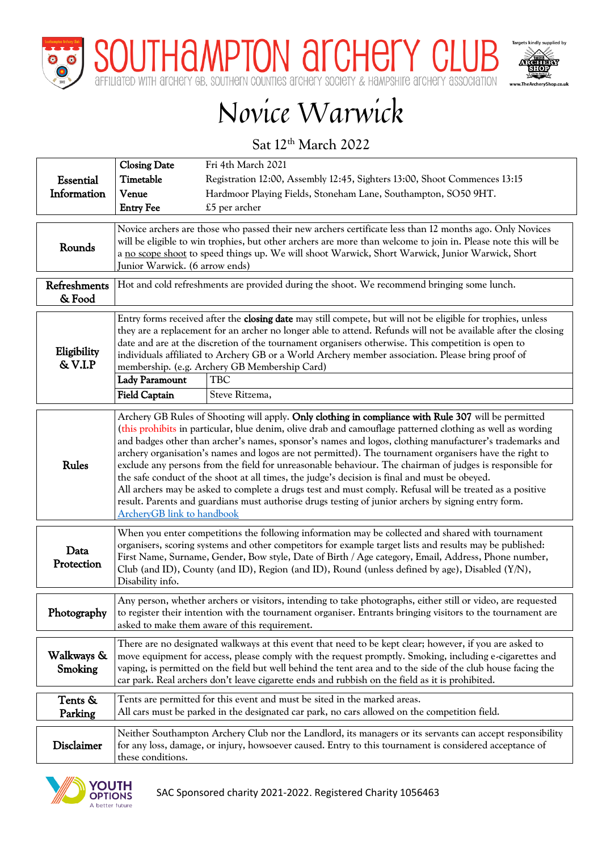

THAMPTON AFCHEITY CL



## Novice Warwick

Sat 12<sup>th</sup> March 2022

|                        | <b>Closing Date</b>                                                                                                                                                                                                                                                                                                                                                                                                                                                                                                                                                                                                                                                                                                                                                                                                                                                                                          | Fri 4th March 2021                                                                                                                                                         |  |  |  |  |  |
|------------------------|--------------------------------------------------------------------------------------------------------------------------------------------------------------------------------------------------------------------------------------------------------------------------------------------------------------------------------------------------------------------------------------------------------------------------------------------------------------------------------------------------------------------------------------------------------------------------------------------------------------------------------------------------------------------------------------------------------------------------------------------------------------------------------------------------------------------------------------------------------------------------------------------------------------|----------------------------------------------------------------------------------------------------------------------------------------------------------------------------|--|--|--|--|--|
| <b>Essential</b>       | Timetable                                                                                                                                                                                                                                                                                                                                                                                                                                                                                                                                                                                                                                                                                                                                                                                                                                                                                                    | Registration 12:00, Assembly 12:45, Sighters 13:00, Shoot Commences 13:15                                                                                                  |  |  |  |  |  |
| Information            | Venue                                                                                                                                                                                                                                                                                                                                                                                                                                                                                                                                                                                                                                                                                                                                                                                                                                                                                                        | Hardmoor Playing Fields, Stoneham Lane, Southampton, SO50 9HT.                                                                                                             |  |  |  |  |  |
|                        | <b>Entry Fee</b><br>£5 per archer                                                                                                                                                                                                                                                                                                                                                                                                                                                                                                                                                                                                                                                                                                                                                                                                                                                                            |                                                                                                                                                                            |  |  |  |  |  |
| Rounds                 | Novice archers are those who passed their new archers certificate less than 12 months ago. Only Novices<br>will be eligible to win trophies, but other archers are more than welcome to join in. Please note this will be<br>a no scope shoot to speed things up. We will shoot Warwick, Short Warwick, Junior Warwick, Short<br>Junior Warwick. (6 arrow ends)                                                                                                                                                                                                                                                                                                                                                                                                                                                                                                                                              |                                                                                                                                                                            |  |  |  |  |  |
| Refreshments<br>& Food | Hot and cold refreshments are provided during the shoot. We recommend bringing some lunch.                                                                                                                                                                                                                                                                                                                                                                                                                                                                                                                                                                                                                                                                                                                                                                                                                   |                                                                                                                                                                            |  |  |  |  |  |
| Eligibility<br>& V.I.P | Entry forms received after the closing date may still compete, but will not be eligible for trophies, unless<br>they are a replacement for an archer no longer able to attend. Refunds will not be available after the closing<br>date and are at the discretion of the tournament organisers otherwise. This competition is open to<br>individuals affiliated to Archery GB or a World Archery member association. Please bring proof of<br>membership. (e.g. Archery GB Membership Card)<br><b>Lady Paramount</b><br>TBC                                                                                                                                                                                                                                                                                                                                                                                   |                                                                                                                                                                            |  |  |  |  |  |
|                        | <b>Field Captain</b>                                                                                                                                                                                                                                                                                                                                                                                                                                                                                                                                                                                                                                                                                                                                                                                                                                                                                         | Steve Ritzema,                                                                                                                                                             |  |  |  |  |  |
| <b>Rules</b>           | Archery GB Rules of Shooting will apply. Only clothing in compliance with Rule 307 will be permitted<br>(this prohibits in particular, blue denim, olive drab and camouflage patterned clothing as well as wording<br>and badges other than archer's names, sponsor's names and logos, clothing manufacturer's trademarks and<br>archery organisation's names and logos are not permitted). The tournament organisers have the right to<br>exclude any persons from the field for unreasonable behaviour. The chairman of judges is responsible for<br>the safe conduct of the shoot at all times, the judge's decision is final and must be obeyed.<br>All archers may be asked to complete a drugs test and must comply. Refusal will be treated as a positive<br>result. Parents and guardians must authorise drugs testing of junior archers by signing entry form.<br><b>ArcheryGB</b> link to handbook |                                                                                                                                                                            |  |  |  |  |  |
| Data<br>Protection     | When you enter competitions the following information may be collected and shared with tournament<br>organisers, scoring systems and other competitors for example target lists and results may be published:<br>First Name, Surname, Gender, Bow style, Date of Birth / Age category, Email, Address, Phone number,<br>Club (and ID), County (and ID), Region (and ID), Round (unless defined by age), Disabled $(Y/N)$ ,<br>Disability info.                                                                                                                                                                                                                                                                                                                                                                                                                                                               |                                                                                                                                                                            |  |  |  |  |  |
| Photography            | Any person, whether archers or visitors, intending to take photographs, either still or video, are requested<br>to register their intention with the tournament organiser. Entrants bringing visitors to the tournament are<br>asked to make them aware of this requirement.                                                                                                                                                                                                                                                                                                                                                                                                                                                                                                                                                                                                                                 |                                                                                                                                                                            |  |  |  |  |  |
| Walkways &<br>Smoking  | There are no designated walkways at this event that need to be kept clear; however, if you are asked to<br>move equipment for access, please comply with the request promptly. Smoking, including e-cigarettes and<br>vaping, is permitted on the field but well behind the tent area and to the side of the club house facing the<br>car park. Real archers don't leave cigarette ends and rubbish on the field as it is prohibited.                                                                                                                                                                                                                                                                                                                                                                                                                                                                        |                                                                                                                                                                            |  |  |  |  |  |
| Tents &<br>Parking     |                                                                                                                                                                                                                                                                                                                                                                                                                                                                                                                                                                                                                                                                                                                                                                                                                                                                                                              | Tents are permitted for this event and must be sited in the marked areas.<br>All cars must be parked in the designated car park, no cars allowed on the competition field. |  |  |  |  |  |
| <b>Disclaimer</b>      | Neither Southampton Archery Club nor the Landlord, its managers or its servants can accept responsibility<br>for any loss, damage, or injury, howsoever caused. Entry to this tournament is considered acceptance of<br>these conditions.                                                                                                                                                                                                                                                                                                                                                                                                                                                                                                                                                                                                                                                                    |                                                                                                                                                                            |  |  |  |  |  |